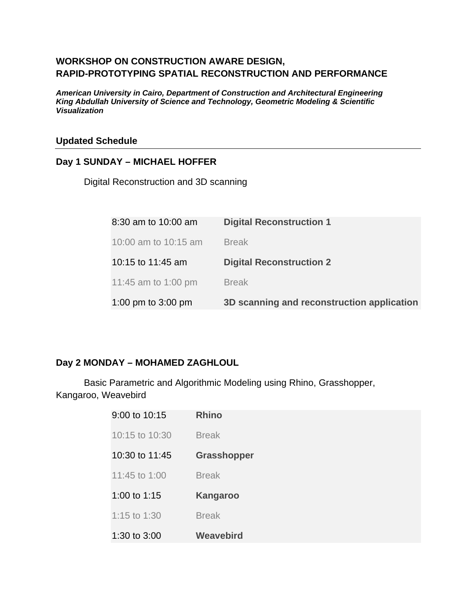## **WORKSHOP ON CONSTRUCTION AWARE DESIGN, RAPID-PROTOTYPING SPATIAL RECONSTRUCTION AND PERFORMANCE**

*American University in Cairo, Department of Construction and Architectural Engineering King Abdullah University of Science and Technology, Geometric Modeling & Scientific Visualization* 

#### **Updated Schedule**

#### **Day 1 SUNDAY – MICHAEL HOFFER**

Digital Reconstruction and 3D scanning

| 8:30 am to 10:00 am  | <b>Digital Reconstruction 1</b>            |
|----------------------|--------------------------------------------|
| 10:00 am to 10:15 am | <b>Break</b>                               |
| 10:15 to 11:45 am    | <b>Digital Reconstruction 2</b>            |
| 11:45 am to 1:00 pm  | <b>Break</b>                               |
| 1:00 pm to 3:00 pm   | 3D scanning and reconstruction application |

### **Day 2 MONDAY – MOHAMED ZAGHLOUL**

 Basic Parametric and Algorithmic Modeling using Rhino, Grasshopper, Kangaroo, Weavebird

| 9:00 to 10:15  | <b>Rhino</b>       |
|----------------|--------------------|
| 10:15 to 10:30 | <b>Break</b>       |
| 10:30 to 11:45 | <b>Grasshopper</b> |
| 11:45 to 1:00  | <b>Break</b>       |
| 1:00 to 1:15   | <b>Kangaroo</b>    |
| 1:15 to 1:30   | <b>Break</b>       |
| 1:30 to 3:00   | <b>Weavebird</b>   |